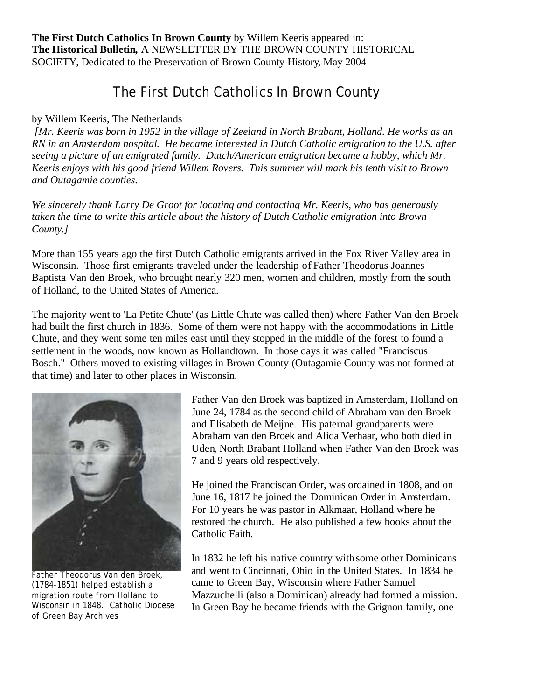**The First Dutch Catholics In Brown County** by Willem Keeris appeared in: **The Historical Bulletin,** A NEWSLETTER BY THE BROWN COUNTY HISTORICAL SOCIETY, Dedicated to the Preservation of Brown County History, May 2004

## The First Dutch Catholics In Brown County

## by Willem Keeris, The Netherlands

*[Mr. Keeris was born in 1952 in the village of Zeeland in North Brabant, Holland. He works as an RN in an Amsterdam hospital. He became interested in Dutch Catholic emigration to the U.S. after seeing a picture of an emigrated family. Dutch/American emigration became a hobby, which Mr. Keeris enjoys with his good friend Willem Rovers. This summer will mark his tenth visit to Brown and Outagamie counties.*

*We sincerely thank Larry De Groot for locating and contacting Mr. Keeris, who has generously taken the time to write this article about the history of Dutch Catholic emigration into Brown County.]*

More than 155 years ago the first Dutch Catholic emigrants arrived in the Fox River Valley area in Wisconsin. Those first emigrants traveled under the leadership of Father Theodorus Joannes Baptista Van den Broek, who brought nearly 320 men, women and children, mostly from the south of Holland, to the United States of America.

The majority went to 'La Petite Chute' (as Little Chute was called then) where Father Van den Broek had built the first church in 1836. Some of them were not happy with the accommodations in Little Chute, and they went some ten miles east until they stopped in the middle of the forest to found a settlement in the woods, now known as Hollandtown. In those days it was called "Franciscus Bosch." Others moved to existing villages in Brown County (Outagamie County was not formed at that time) and later to other places in Wisconsin.



Father Theodorus Van den Broek, (1784-1851) helped establish a migration route from Holland to Wisconsin in 1848. Catholic Diocese of Green Bay Archives

Father Van den Broek was baptized in Amsterdam, Holland on June 24, 1784 as the second child of Abraham van den Broek and Elisabeth de Meijne. His paternal grandparents were Abraham van den Broek and Alida Verhaar, who both died in Uden, North Brabant Holland when Father Van den Broek was 7 and 9 years old respectively.

He joined the Franciscan Order, was ordained in 1808, and on June 16, 1817 he joined the Dominican Order in Amsterdam. For 10 years he was pastor in Alkmaar, Holland where he restored the church. He also published a few books about the Catholic Faith.

In 1832 he left his native country with some other Dominicans and went to Cincinnati, Ohio in the United States. In 1834 he came to Green Bay, Wisconsin where Father Samuel Mazzuchelli (also a Dominican) already had formed a mission. In Green Bay he became friends with the Grignon family, one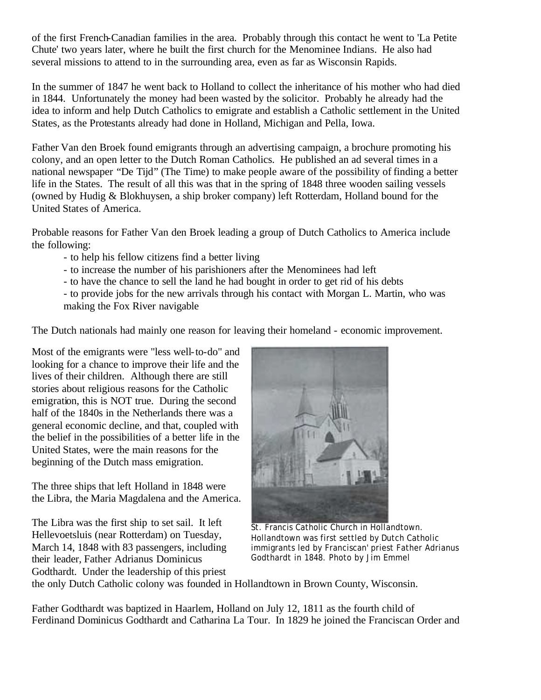of the first French-Canadian families in the area. Probably through this contact he went to 'La Petite Chute' two years later, where he built the first church for the Menominee Indians. He also had several missions to attend to in the surrounding area, even as far as Wisconsin Rapids.

In the summer of 1847 he went back to Holland to collect the inheritance of his mother who had died in 1844. Unfortunately the money had been wasted by the solicitor. Probably he already had the idea to inform and help Dutch Catholics to emigrate and establish a Catholic settlement in the United States, as the Protestants already had done in Holland, Michigan and Pella, Iowa.

Father Van den Broek found emigrants through an advertising campaign, a brochure promoting his colony, and an open letter to the Dutch Roman Catholics. He published an ad several times in a national newspaper "De Tijd" (The Time) to make people aware of the possibility of finding a better life in the States. The result of all this was that in the spring of 1848 three wooden sailing vessels (owned by Hudig & Blokhuysen, a ship broker company) left Rotterdam, Holland bound for the United States of America.

Probable reasons for Father Van den Broek leading a group of Dutch Catholics to America include the following:

- to help his fellow citizens find a better living
- to increase the number of his parishioners after the Menominees had left
- to have the chance to sell the land he had bought in order to get rid of his debts
- to provide jobs for the new arrivals through his contact with Morgan L. Martin, who was making the Fox River navigable

The Dutch nationals had mainly one reason for leaving their homeland - economic improvement.

Most of the emigrants were "less well-to-do" and looking for a chance to improve their life and the lives of their children. Although there are still stories about religious reasons for the Catholic emigration, this is NOT true. During the second half of the 1840s in the Netherlands there was a general economic decline, and that, coupled with the belief in the possibilities of a better life in the United States, were the main reasons for the beginning of the Dutch mass emigration.

The three ships that left Holland in 1848 were the Libra, the Maria Magdalena and the America.

The Libra was the first ship to set sail. It left Hellevoetsluis (near Rotterdam) on Tuesday, March 14, 1848 with 83 passengers, including their leader, Father Adrianus Dominicus Godthardt. Under the leadership of this priest



St. Francis Catholic Church in Hollandtown. Hollandtown was first settled by Dutch Catholic immigrants led by Franciscan' priest Father Adrianus Godthardt in 1848. Photo by Jim Emmel

the only Dutch Catholic colony was founded in Hollandtown in Brown County, Wisconsin.

Father Godthardt was baptized in Haarlem, Holland on July 12, 1811 as the fourth child of Ferdinand Dominicus Godthardt and Catharina La Tour. In 1829 he joined the Franciscan Order and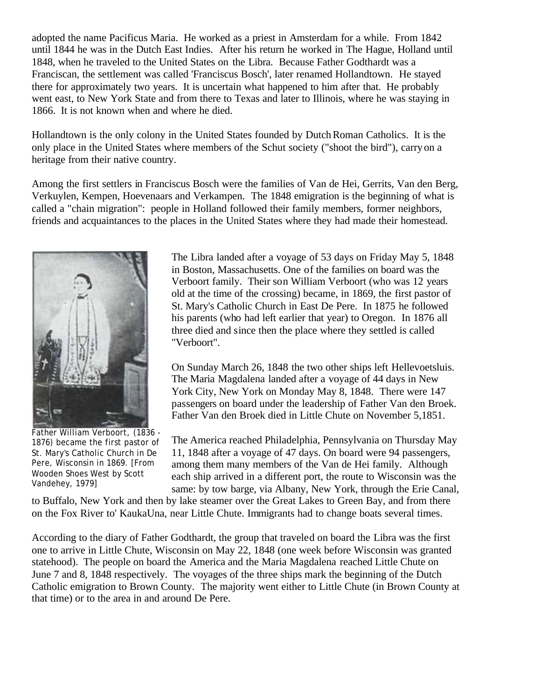adopted the name Pacificus Maria. He worked as a priest in Amsterdam for a while. From 1842 until 1844 he was in the Dutch East Indies. After his return he worked in The Hague, Holland until 1848, when he traveled to the United States on the Libra. Because Father Godthardt was a Franciscan, the settlement was called 'Franciscus Bosch', later renamed Hollandtown. He stayed there for approximately two years. It is uncertain what happened to him after that. He probably went east, to New York State and from there to Texas and later to Illinois, where he was staying in 1866. It is not known when and where he died.

Hollandtown is the only colony in the United States founded by Dutch Roman Catholics. It is the only place in the United States where members of the Schut society ("shoot the bird"), carryon a heritage from their native country.

Among the first settlers in Franciscus Bosch were the families of Van de Hei, Gerrits, Van den Berg, Verkuylen, Kempen, Hoevenaars and Verkampen. The 1848 emigration is the beginning of what is called a "chain migration": people in Holland followed their family members, former neighbors, friends and acquaintances to the places in the United States where they had made their homestead.



Father William Verboort, (1836 - 1876) became the first pastor of St. Mary's Catholic Church in De Pere, Wisconsin in 1869. [From Wooden Shoes West by Scott Vandehey, 1979]

The Libra landed after a voyage of 53 days on Friday May 5, 1848 in Boston, Massachusetts. One of the families on board was the Verboort family. Their son William Verboort (who was 12 years old at the time of the crossing) became, in 1869, the first pastor of St. Mary's Catholic Church in East De Pere. In 1875 he followed his parents (who had left earlier that year) to Oregon. In 1876 all three died and since then the place where they settled is called "Verboort".

On Sunday March 26, 1848 the two other ships left Hellevoetsluis. The Maria Magdalena landed after a voyage of 44 days in New York City, New York on Monday May 8, 1848. There were 147 passengers on board under the leadership of Father Van den Broek. Father Van den Broek died in Little Chute on November 5,1851.

The America reached Philadelphia, Pennsylvania on Thursday May 11, 1848 after a voyage of 47 days. On board were 94 passengers, among them many members of the Van de Hei family. Although each ship arrived in a different port, the route to Wisconsin was the same: by tow barge, via Albany, New York, through the Erie Canal,

to Buffalo, New York and then by lake steamer over the Great Lakes to Green Bay, and from there on the Fox River to' KaukaUna, near Little Chute. Immigrants had to change boats several times.

According to the diary of Father Godthardt, the group that traveled on board the Libra was the first one to arrive in Little Chute, Wisconsin on May 22, 1848 (one week before Wisconsin was granted statehood). The people on board the America and the Maria Magdalena reached Little Chute on June 7 and 8, 1848 respectively. The voyages of the three ships mark the beginning of the Dutch Catholic emigration to Brown County. The majority went either to Little Chute (in Brown County at that time) or to the area in and around De Pere.